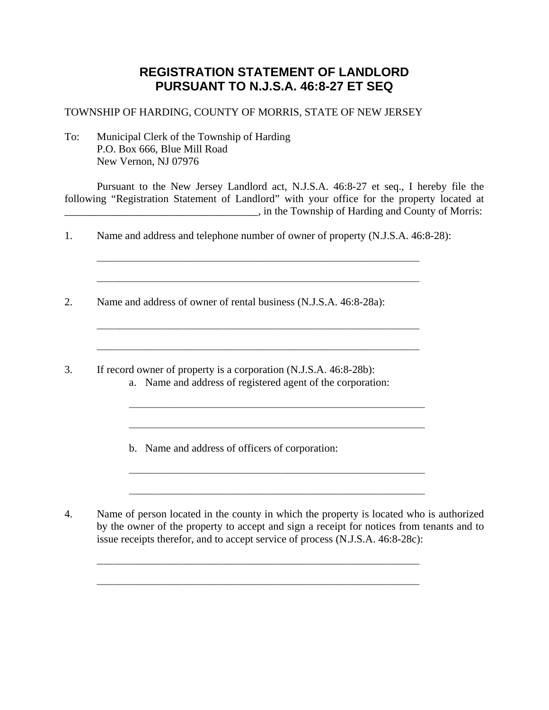## **REGISTRATION STATEMENT OF LANDLORD PURSUANT TO N.J.S.A. 46:8-27 ET SEQ**

## TOWNSHIP OF HARDING, COUNTY OF MORRIS, STATE OF NEW JERSEY

To: Municipal Clerk of the Township of Harding P.O. Box 666, Blue Mill Road New Vernon, NJ 07976

 Pursuant to the New Jersey Landlord act, N.J.S.A. 46:8-27 et seq., I hereby file the following "Registration Statement of Landlord" with your office for the property located at \_\_\_\_\_\_\_\_\_\_\_\_\_\_\_\_\_\_\_\_\_\_\_\_\_\_\_\_\_\_\_\_\_\_\_\_, in the Township of Harding and County of Morris:

 $\mathcal{L}_\text{max} = \frac{1}{2} \sum_{i=1}^{n} \frac{1}{2} \sum_{i=1}^{n} \frac{1}{2} \sum_{i=1}^{n} \frac{1}{2} \sum_{i=1}^{n} \frac{1}{2} \sum_{i=1}^{n} \frac{1}{2} \sum_{i=1}^{n} \frac{1}{2} \sum_{i=1}^{n} \frac{1}{2} \sum_{i=1}^{n} \frac{1}{2} \sum_{i=1}^{n} \frac{1}{2} \sum_{i=1}^{n} \frac{1}{2} \sum_{i=1}^{n} \frac{1}{2} \sum_{i=1}^{n} \frac{1$ 

1. Name and address and telephone number of owner of property (N.J.S.A. 46:8-28):

\_\_\_\_\_\_\_\_\_\_\_\_\_\_\_\_\_\_\_\_\_\_\_\_\_\_\_\_\_\_\_\_\_\_\_\_\_\_\_\_\_\_\_\_\_\_\_\_\_\_\_\_\_\_\_\_\_\_\_\_\_\_\_\_\_\_\_\_\_\_\_\_

\_\_\_\_\_\_\_\_\_\_\_\_\_\_\_\_\_\_\_\_\_\_\_\_\_\_\_\_\_\_\_\_\_\_\_\_\_\_\_\_\_\_\_\_\_\_\_\_\_\_\_\_\_\_\_\_\_\_\_\_\_\_\_\_\_\_\_\_\_\_\_\_

2. Name and address of owner of rental business (N.J.S.A. 46:8-28a):

3. If record owner of property is a corporation (N.J.S.A. 46:8-28b):

a. Name and address of registered agent of the corporation:

\_\_\_\_\_\_\_\_\_\_\_\_\_\_\_\_\_\_\_\_\_\_\_\_\_\_\_\_\_\_\_\_\_\_\_\_\_\_\_\_\_\_\_\_\_\_\_\_\_\_\_\_\_\_\_\_\_\_\_\_\_\_\_\_\_\_

\_\_\_\_\_\_\_\_\_\_\_\_\_\_\_\_\_\_\_\_\_\_\_\_\_\_\_\_\_\_\_\_\_\_\_\_\_\_\_\_\_\_\_\_\_\_\_\_\_\_\_\_\_\_\_\_\_\_\_\_\_\_\_\_\_\_

\_\_\_\_\_\_\_\_\_\_\_\_\_\_\_\_\_\_\_\_\_\_\_\_\_\_\_\_\_\_\_\_\_\_\_\_\_\_\_\_\_\_\_\_\_\_\_\_\_\_\_\_\_\_\_\_\_\_\_\_\_\_\_\_\_\_

\_\_\_\_\_\_\_\_\_\_\_\_\_\_\_\_\_\_\_\_\_\_\_\_\_\_\_\_\_\_\_\_\_\_\_\_\_\_\_\_\_\_\_\_\_\_\_\_\_\_\_\_\_\_\_\_\_\_\_\_\_\_\_\_\_\_

\_\_\_\_\_\_\_\_\_\_\_\_\_\_\_\_\_\_\_\_\_\_\_\_\_\_\_\_\_\_\_\_\_\_\_\_\_\_\_\_\_\_\_\_\_\_\_\_\_\_\_\_\_\_\_\_\_\_\_\_\_\_\_\_\_\_\_\_\_\_\_\_

b. Name and address of officers of corporation:

4. Name of person located in the county in which the property is located who is authorized by the owner of the property to accept and sign a receipt for notices from tenants and to issue receipts therefor, and to accept service of process (N.J.S.A. 46:8-28c):

\_\_\_\_\_\_\_\_\_\_\_\_\_\_\_\_\_\_\_\_\_\_\_\_\_\_\_\_\_\_\_\_\_\_\_\_\_\_\_\_\_\_\_\_\_\_\_\_\_\_\_\_\_\_\_\_\_\_\_\_\_\_\_\_\_\_\_\_\_\_\_\_

\_\_\_\_\_\_\_\_\_\_\_\_\_\_\_\_\_\_\_\_\_\_\_\_\_\_\_\_\_\_\_\_\_\_\_\_\_\_\_\_\_\_\_\_\_\_\_\_\_\_\_\_\_\_\_\_\_\_\_\_\_\_\_\_\_\_\_\_\_\_\_\_